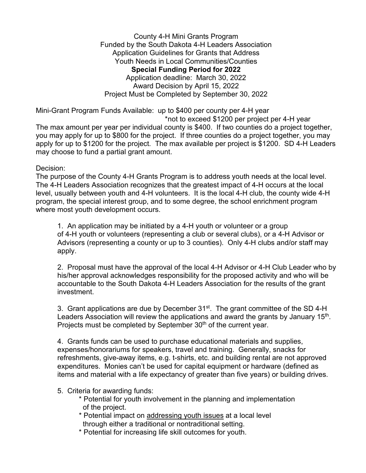County 4-H Mini Grants Program Funded by the South Dakota 4-H Leaders Association Application Guidelines for Grants that Address Youth Needs in Local Communities/Counties **Special Funding Period for 2022** Application deadline: March 30, 2022 Award Decision by April 15, 2022 Project Must be Completed by September 30, 2022

Mini-Grant Program Funds Available: up to \$400 per county per 4-H year \*not to exceed \$1200 per project per 4-H year The max amount per year per individual county is \$400. If two counties do a project together, you may apply for up to \$800 for the project. If three counties do a project together, you may apply for up to \$1200 for the project. The max available per project is \$1200. SD 4-H Leaders

## Decision:

The purpose of the County 4-H Grants Program is to address youth needs at the local level. The 4-H Leaders Association recognizes that the greatest impact of 4-H occurs at the local level, usually between youth and 4-H volunteers. It is the local 4-H club, the county wide 4-H program, the special interest group, and to some degree, the school enrichment program where most youth development occurs.

1. An application may be initiated by a 4-H youth or volunteer or a group of 4-H youth or volunteers (representing a club or several clubs), or a 4-H Advisor or Advisors (representing a county or up to 3 counties). Only 4-H clubs and/or staff may apply.

2. Proposal must have the approval of the local 4-H Advisor or 4-H Club Leader who by his/her approval acknowledges responsibility for the proposed activity and who will be accountable to the South Dakota 4-H Leaders Association for the results of the grant investment.

3. Grant applications are due by December 31<sup>st</sup>. The grant committee of the SD 4-H Leaders Association will review the applications and award the grants by January 15<sup>th</sup>. Projects must be completed by September 30<sup>th</sup> of the current year.

4. Grants funds can be used to purchase educational materials and supplies, expenses/honorariums for speakers, travel and training. Generally, snacks for refreshments, give-away items, e.g. t-shirts, etc. and building rental are not approved expenditures. Monies can't be used for capital equipment or hardware (defined as items and material with a life expectancy of greater than five years) or building drives.

5. Criteria for awarding funds:

may choose to fund a partial grant amount.

- \* Potential for youth involvement in the planning and implementation of the project.
- \* Potential impact on addressing youth issues at a local level through either a traditional or nontraditional setting.
- \* Potential for increasing life skill outcomes for youth.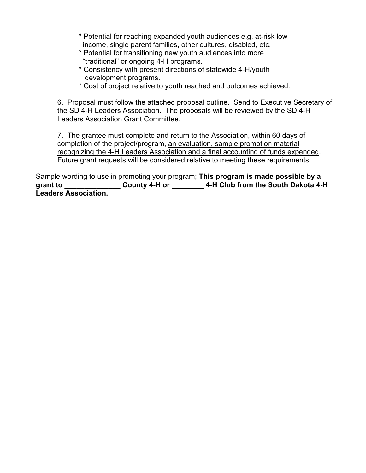- \* Potential for reaching expanded youth audiences e.g. at-risk low income, single parent families, other cultures, disabled, etc.
- \* Potential for transitioning new youth audiences into more "traditional" or ongoing 4-H programs.
- \* Consistency with present directions of statewide 4-H/youth development programs.
- \* Cost of project relative to youth reached and outcomes achieved.

6. Proposal must follow the attached proposal outline. Send to Executive Secretary of the SD 4-H Leaders Association. The proposals will be reviewed by the SD 4-H Leaders Association Grant Committee.

7. The grantee must complete and return to the Association, within 60 days of completion of the project/program, an evaluation, sample promotion material recognizing the 4-H Leaders Association and a final accounting of funds expended. Future grant requests will be considered relative to meeting these requirements.

Sample wording to use in promoting your program; **This program is made possible by a grant to \_\_\_\_\_\_\_\_\_\_\_\_\_\_ County 4-H or \_\_\_\_\_\_\_\_ 4-H Club from the South Dakota 4-H Leaders Association.**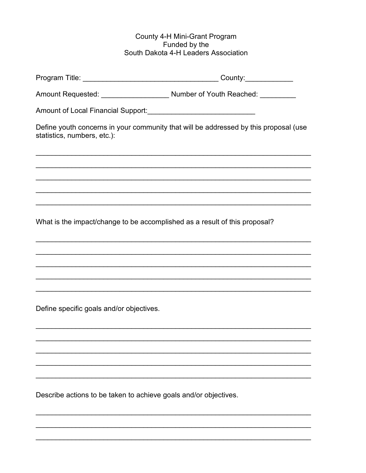## County 4-H Mini-Grant Program<br>Funded by the South Dakota 4-H Leaders Association

| statistics, numbers, etc.):                                                | Define youth concerns in your community that will be addressed by this proposal (use |
|----------------------------------------------------------------------------|--------------------------------------------------------------------------------------|
|                                                                            |                                                                                      |
|                                                                            |                                                                                      |
|                                                                            |                                                                                      |
| What is the impact/change to be accomplished as a result of this proposal? |                                                                                      |
|                                                                            |                                                                                      |
|                                                                            |                                                                                      |
|                                                                            |                                                                                      |
| Define specific goals and/or objectives.                                   |                                                                                      |
|                                                                            |                                                                                      |
|                                                                            |                                                                                      |
|                                                                            |                                                                                      |

Describe actions to be taken to achieve goals and/or objectives.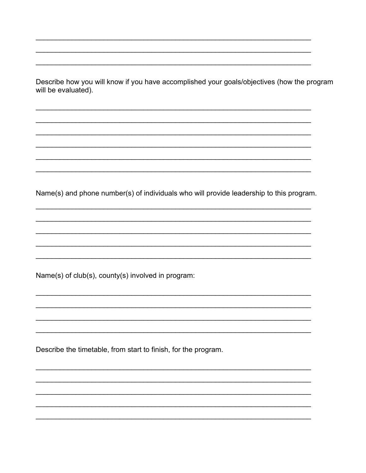Describe how you will know if you have accomplished your goals/objectives (how the program will be evaluated).

Name(s) and phone number(s) of individuals who will provide leadership to this program.

Name(s) of club(s), county(s) involved in program:

Describe the timetable, from start to finish, for the program.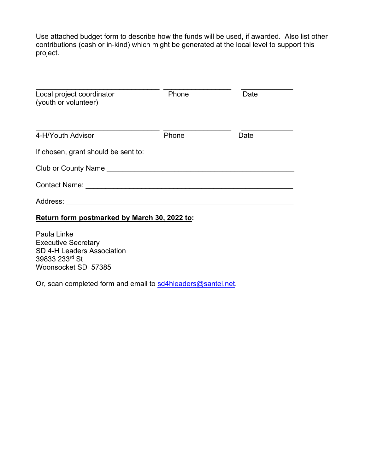Use attached budget form to describe how the funds will be used, if awarded. Also list other contributions (cash or in-kind) which might be generated at the local level to support this project.

| Local project coordinator<br>(youth or volunteer) | Phone | Date |  |  |
|---------------------------------------------------|-------|------|--|--|
| 4-H/Youth Advisor                                 | Phone | Date |  |  |
| If chosen, grant should be sent to:               |       |      |  |  |
| Club or County Name <b>Example 2018</b>           |       |      |  |  |
| <b>Contact Name:</b>                              |       |      |  |  |
| Address:                                          |       |      |  |  |
|                                                   |       |      |  |  |

## **Return form postmarked by March 30, 2022 to:**

Paula Linke Executive Secretary SD 4-H Leaders Association 39833 233rd St Woonsocket SD 57385

Or, scan completed form and email to [sd4hleaders@santel.net.](mailto:sd4hleaders@santel.net)